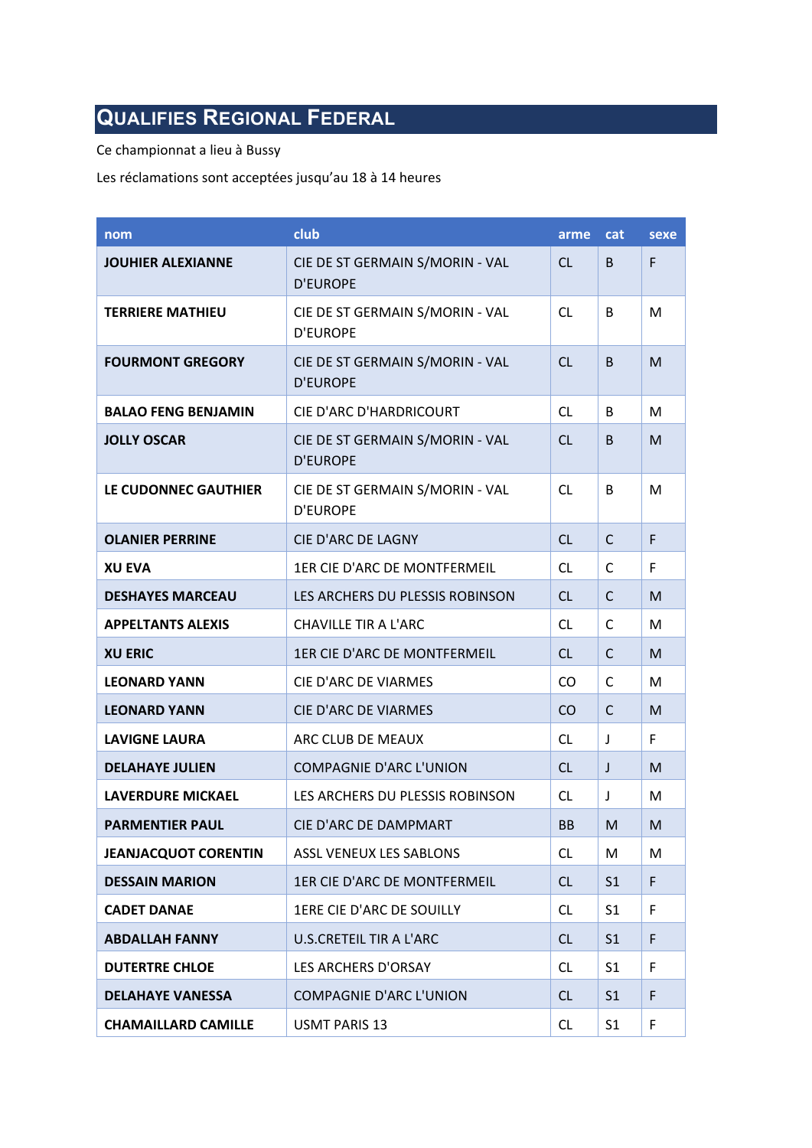## **QUALIFIES REGIONAL FEDERAL**

Ce championnat a lieu à Bussy

Les réclamations sont acceptées jusqu'au 18 à 14 heures

| nom                         | club                                               | arme      | <b>cat</b>     | sexe |
|-----------------------------|----------------------------------------------------|-----------|----------------|------|
| <b>JOUHIER ALEXIANNE</b>    | CIE DE ST GERMAIN S/MORIN - VAL<br><b>D'EUROPE</b> | <b>CL</b> | B              | F    |
| <b>TERRIERE MATHIEU</b>     | CIE DE ST GERMAIN S/MORIN - VAL<br><b>D'EUROPE</b> | <b>CL</b> | B              | M    |
| <b>FOURMONT GREGORY</b>     | CIE DE ST GERMAIN S/MORIN - VAL<br><b>D'EUROPE</b> | <b>CL</b> | B              | M    |
| <b>BALAO FENG BENJAMIN</b>  | CIE D'ARC D'HARDRICOURT                            | <b>CL</b> | B              | M    |
| <b>JOLLY OSCAR</b>          | CIE DE ST GERMAIN S/MORIN - VAL<br><b>D'EUROPE</b> | CL        | B              | M    |
| LE CUDONNEC GAUTHIER        | CIE DE ST GERMAIN S/MORIN - VAL<br><b>D'EUROPE</b> | <b>CL</b> | B              | M    |
| <b>OLANIER PERRINE</b>      | <b>CIE D'ARC DE LAGNY</b>                          | CL        | $\mathsf{C}$   | F    |
| <b>XU EVA</b>               | 1ER CIE D'ARC DE MONTFERMEIL                       | <b>CL</b> | C              | F    |
| <b>DESHAYES MARCEAU</b>     | LES ARCHERS DU PLESSIS ROBINSON                    | <b>CL</b> | C              | M    |
| <b>APPELTANTS ALEXIS</b>    | CHAVILLE TIR A L'ARC                               | <b>CL</b> | C              | M    |
| <b>XU ERIC</b>              | 1ER CIE D'ARC DE MONTFERMEIL                       | CL        | C              | M    |
| <b>LEONARD YANN</b>         | CIE D'ARC DE VIARMES                               | CO        | $\mathsf{C}$   | M    |
| <b>LEONARD YANN</b>         | <b>CIE D'ARC DE VIARMES</b>                        | CO        | C              | M    |
| <b>LAVIGNE LAURA</b>        | ARC CLUB DE MEAUX                                  | <b>CL</b> | J              | F    |
| <b>DELAHAYE JULIEN</b>      | <b>COMPAGNIE D'ARC L'UNION</b>                     | <b>CL</b> | J              | M    |
| <b>LAVERDURE MICKAEL</b>    | LES ARCHERS DU PLESSIS ROBINSON                    | CL        | J              | M    |
| <b>PARMENTIER PAUL</b>      | CIE D'ARC DE DAMPMART                              | <b>BB</b> | M              | M    |
| <b>JEANJACQUOT CORENTIN</b> | ASSL VENEUX LES SABLONS                            | <b>CL</b> | М              | M    |
| <b>DESSAIN MARION</b>       | 1ER CIE D'ARC DE MONTFERMEIL                       | <b>CL</b> | S <sub>1</sub> | F    |
| <b>CADET DANAE</b>          | 1ERE CIE D'ARC DE SOUILLY                          | <b>CL</b> | S <sub>1</sub> | F    |
| <b>ABDALLAH FANNY</b>       | U.S.CRETEIL TIR A L'ARC                            | <b>CL</b> | S <sub>1</sub> | F    |
| <b>DUTERTRE CHLOE</b>       | LES ARCHERS D'ORSAY                                | <b>CL</b> | S <sub>1</sub> | F    |
| <b>DELAHAYE VANESSA</b>     | <b>COMPAGNIE D'ARC L'UNION</b>                     | <b>CL</b> | S <sub>1</sub> | F    |
| <b>CHAMAILLARD CAMILLE</b>  | <b>USMT PARIS 13</b>                               | <b>CL</b> | S <sub>1</sub> | F    |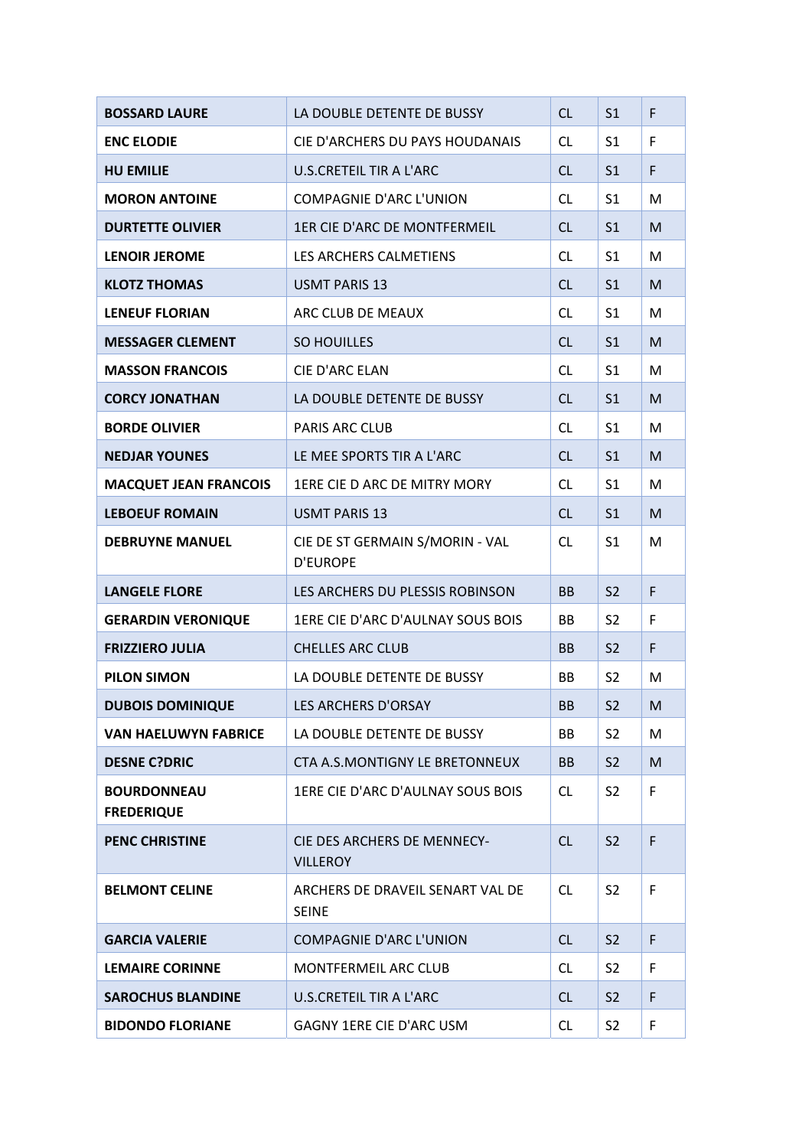| <b>BOSSARD LAURE</b>                    | LA DOUBLE DETENTE DE BUSSY                         | CL        | S <sub>1</sub> | F |
|-----------------------------------------|----------------------------------------------------|-----------|----------------|---|
| <b>ENC ELODIE</b>                       | CIE D'ARCHERS DU PAYS HOUDANAIS                    | CL.       | S1             | F |
| <b>HU EMILIE</b>                        | <b>U.S.CRETEIL TIR A L'ARC</b>                     | <b>CL</b> | S <sub>1</sub> | F |
| <b>MORON ANTOINE</b>                    | <b>COMPAGNIE D'ARC L'UNION</b>                     | CL.       | S <sub>1</sub> | M |
| <b>DURTETTE OLIVIER</b>                 | 1ER CIE D'ARC DE MONTFERMEIL                       | <b>CL</b> | S <sub>1</sub> | M |
| <b>LENOIR JEROME</b>                    | LES ARCHERS CALMETIENS                             | CL.       | S1             | M |
| <b>KLOTZ THOMAS</b>                     | <b>USMT PARIS 13</b>                               | <b>CL</b> | S <sub>1</sub> | M |
| <b>LENEUF FLORIAN</b>                   | ARC CLUB DE MEAUX                                  | CL.       | S <sub>1</sub> | M |
| <b>MESSAGER CLEMENT</b>                 | SO HOUILLES                                        | <b>CL</b> | S <sub>1</sub> | M |
| <b>MASSON FRANCOIS</b>                  | CIE D'ARC ELAN                                     | <b>CL</b> | S1             | M |
| <b>CORCY JONATHAN</b>                   | LA DOUBLE DETENTE DE BUSSY                         | <b>CL</b> | S <sub>1</sub> | M |
| <b>BORDE OLIVIER</b>                    | <b>PARIS ARC CLUB</b>                              | CL        | S <sub>1</sub> | M |
| <b>NEDJAR YOUNES</b>                    | LE MEE SPORTS TIR A L'ARC                          | <b>CL</b> | S <sub>1</sub> | M |
| <b>MACQUET JEAN FRANCOIS</b>            | 1ERE CIE D ARC DE MITRY MORY                       | CL        | S1             | M |
| <b>LEBOEUF ROMAIN</b>                   | <b>USMT PARIS 13</b>                               | <b>CL</b> | S <sub>1</sub> | M |
| <b>DEBRUYNE MANUEL</b>                  | CIE DE ST GERMAIN S/MORIN - VAL<br><b>D'EUROPE</b> | CL.       | S <sub>1</sub> | M |
| <b>LANGELE FLORE</b>                    | LES ARCHERS DU PLESSIS ROBINSON                    | <b>BB</b> | S <sub>2</sub> | F |
| <b>GERARDIN VERONIQUE</b>               | 1ERE CIE D'ARC D'AULNAY SOUS BOIS                  | BB        | S <sub>2</sub> | F |
| <b>FRIZZIERO JULIA</b>                  | <b>CHELLES ARC CLUB</b>                            | <b>BB</b> | S <sub>2</sub> | F |
| <b>PILON SIMON</b>                      | LA DOUBLE DETENTE DE BUSSY                         | ВB        | S <sub>2</sub> | M |
| <b>DUBOIS DOMINIQUE</b>                 | LES ARCHERS D'ORSAY                                | <b>BB</b> | S <sub>2</sub> | M |
| <b>VAN HAELUWYN FABRICE</b>             | LA DOUBLE DETENTE DE BUSSY                         | BB        | S <sub>2</sub> | M |
| <b>DESNE C?DRIC</b>                     |                                                    |           |                |   |
|                                         | <b>CTA A.S.MONTIGNY LE BRETONNEUX</b>              | <b>BB</b> | S <sub>2</sub> | M |
| <b>BOURDONNEAU</b><br><b>FREDERIQUE</b> | 1ERE CIE D'ARC D'AULNAY SOUS BOIS                  | <b>CL</b> | S <sub>2</sub> | F |
| <b>PENC CHRISTINE</b>                   | CIE DES ARCHERS DE MENNECY-<br><b>VILLEROY</b>     | CL        | S <sub>2</sub> | F |
| <b>BELMONT CELINE</b>                   | ARCHERS DE DRAVEIL SENART VAL DE<br><b>SEINE</b>   | <b>CL</b> | S <sub>2</sub> | F |
| <b>GARCIA VALERIE</b>                   | <b>COMPAGNIE D'ARC L'UNION</b>                     | CL        | S <sub>2</sub> | F |
| <b>LEMAIRE CORINNE</b>                  | <b>MONTFERMEIL ARC CLUB</b>                        | <b>CL</b> | S <sub>2</sub> | F |
| <b>SAROCHUS BLANDINE</b>                | U.S.CRETEIL TIR A L'ARC                            | <b>CL</b> | S <sub>2</sub> | F |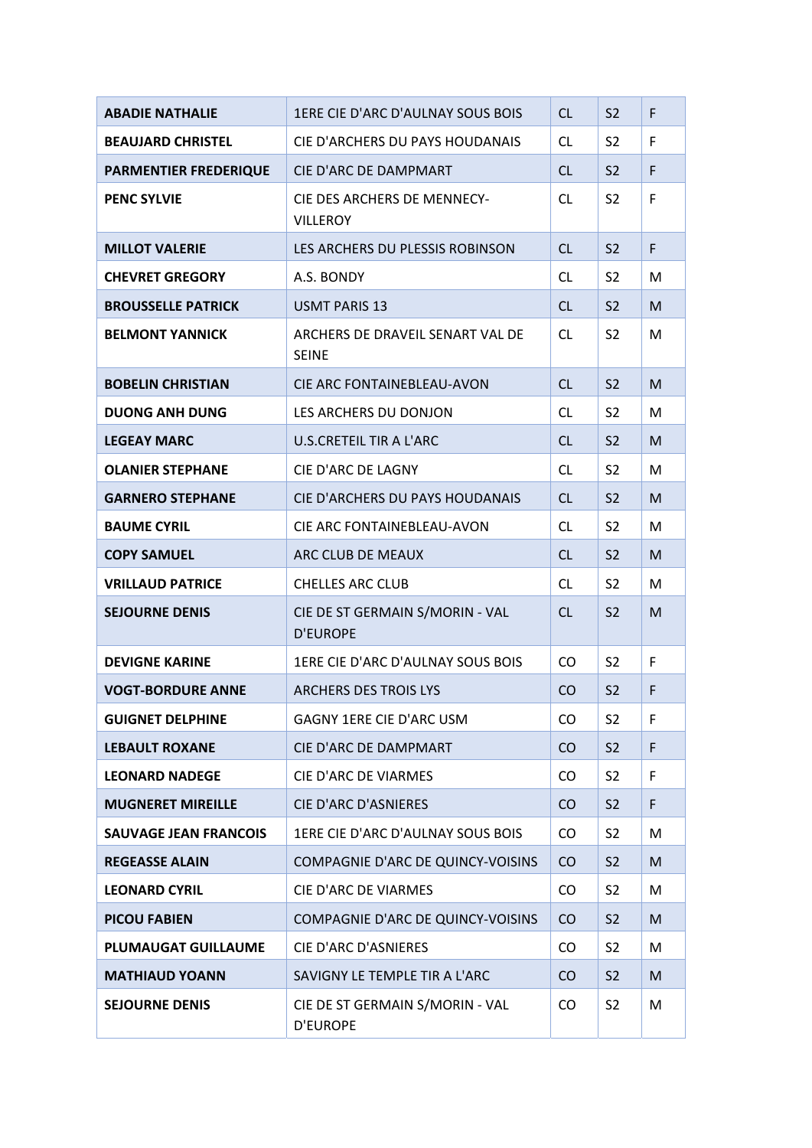| <b>ABADIE NATHALIE</b>       | 1ERE CIE D'ARC D'AULNAY SOUS BOIS                  | CL        | S <sub>2</sub> | F |
|------------------------------|----------------------------------------------------|-----------|----------------|---|
| <b>BEAUJARD CHRISTEL</b>     | CIE D'ARCHERS DU PAYS HOUDANAIS                    | CL.       | S <sub>2</sub> | F |
| <b>PARMENTIER FREDERIQUE</b> | CIE D'ARC DE DAMPMART                              | CL        | S <sub>2</sub> | F |
| <b>PENC SYLVIE</b>           | CIE DES ARCHERS DE MENNECY-<br><b>VILLEROY</b>     | <b>CL</b> | S <sub>2</sub> | F |
| <b>MILLOT VALERIE</b>        | LES ARCHERS DU PLESSIS ROBINSON                    | <b>CL</b> | S <sub>2</sub> | F |
| <b>CHEVRET GREGORY</b>       | A.S. BONDY                                         | <b>CL</b> | S <sub>2</sub> | M |
| <b>BROUSSELLE PATRICK</b>    | <b>USMT PARIS 13</b>                               | <b>CL</b> | S <sub>2</sub> | M |
| <b>BELMONT YANNICK</b>       | ARCHERS DE DRAVEIL SENART VAL DE<br><b>SEINE</b>   | <b>CL</b> | S <sub>2</sub> | M |
| <b>BOBELIN CHRISTIAN</b>     | CIE ARC FONTAINEBLEAU-AVON                         | CL        | S <sub>2</sub> | M |
| <b>DUONG ANH DUNG</b>        | LES ARCHERS DU DONJON                              | <b>CL</b> | S <sub>2</sub> | M |
| <b>LEGEAY MARC</b>           | <b>U.S.CRETEIL TIR A L'ARC</b>                     | <b>CL</b> | S <sub>2</sub> | M |
| <b>OLANIER STEPHANE</b>      | CIE D'ARC DE LAGNY                                 | <b>CL</b> | S <sub>2</sub> | M |
| <b>GARNERO STEPHANE</b>      | CIE D'ARCHERS DU PAYS HOUDANAIS                    | <b>CL</b> | S <sub>2</sub> | M |
| <b>BAUME CYRIL</b>           | CIE ARC FONTAINEBLEAU-AVON                         | <b>CL</b> | S <sub>2</sub> | M |
| <b>COPY SAMUEL</b>           | ARC CLUB DE MEAUX                                  | <b>CL</b> | S <sub>2</sub> | M |
| <b>VRILLAUD PATRICE</b>      | <b>CHELLES ARC CLUB</b>                            | <b>CL</b> | S <sub>2</sub> | M |
| <b>SEJOURNE DENIS</b>        | CIE DE ST GERMAIN S/MORIN - VAL<br><b>D'EUROPE</b> | <b>CL</b> | S <sub>2</sub> | M |
| <b>DEVIGNE KARINE</b>        | 1ERE CIE D'ARC D'AULNAY SOUS BOIS                  | CO        | S <sub>2</sub> | F |
| <b>VOGT-BORDURE ANNE</b>     | <b>ARCHERS DES TROIS LYS</b>                       | CO        | S <sub>2</sub> | F |
| <b>GUIGNET DELPHINE</b>      | GAGNY 1ERE CIE D'ARC USM                           | CO        | S <sub>2</sub> | F |
| <b>LEBAULT ROXANE</b>        | CIE D'ARC DE DAMPMART                              | CO        | S <sub>2</sub> | F |
| <b>LEONARD NADEGE</b>        | CIE D'ARC DE VIARMES                               | <b>CO</b> | S <sub>2</sub> | F |
| <b>MUGNERET MIREILLE</b>     | CIE D'ARC D'ASNIERES                               | CO        | S <sub>2</sub> | F |
| <b>SAUVAGE JEAN FRANCOIS</b> | 1ERE CIE D'ARC D'AULNAY SOUS BOIS                  | <b>CO</b> | S <sub>2</sub> | M |
| <b>REGEASSE ALAIN</b>        | COMPAGNIE D'ARC DE QUINCY-VOISINS                  | CO.       | S <sub>2</sub> | M |
| <b>LEONARD CYRIL</b>         | CIE D'ARC DE VIARMES                               | <b>CO</b> | S <sub>2</sub> | M |
| <b>PICOU FABIEN</b>          | COMPAGNIE D'ARC DE QUINCY-VOISINS                  | CO        | S <sub>2</sub> | M |
| <b>PLUMAUGAT GUILLAUME</b>   | CIE D'ARC D'ASNIERES                               | CO.       | S <sub>2</sub> | M |
| <b>MATHIAUD YOANN</b>        | SAVIGNY LE TEMPLE TIR A L'ARC                      | CO        | S <sub>2</sub> | M |
| <b>SEJOURNE DENIS</b>        | CIE DE ST GERMAIN S/MORIN - VAL<br><b>D'EUROPE</b> | CO        | S <sub>2</sub> | M |